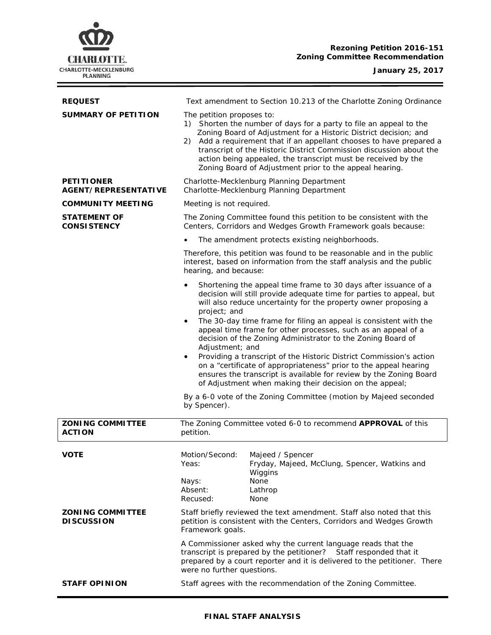

ł,

| <b>REQUEST</b>                                   | Text amendment to Section 10.213 of the Charlotte Zoning Ordinance                                                                                                                                                                                                                                                                                                                                                                                                                                                                                                                                                                                                                                                                                                                                                                                         |
|--------------------------------------------------|------------------------------------------------------------------------------------------------------------------------------------------------------------------------------------------------------------------------------------------------------------------------------------------------------------------------------------------------------------------------------------------------------------------------------------------------------------------------------------------------------------------------------------------------------------------------------------------------------------------------------------------------------------------------------------------------------------------------------------------------------------------------------------------------------------------------------------------------------------|
| <b>SUMMARY OF PETITION</b>                       | The petition proposes to:<br>1) Shorten the number of days for a party to file an appeal to the<br>Zoning Board of Adjustment for a Historic District decision; and<br>2) Add a requirement that if an appellant chooses to have prepared a<br>transcript of the Historic District Commission discussion about the<br>action being appealed, the transcript must be received by the<br>Zoning Board of Adjustment prior to the appeal hearing.                                                                                                                                                                                                                                                                                                                                                                                                             |
| <b>PETITIONER</b><br><b>AGENT/REPRESENTATIVE</b> | Charlotte-Mecklenburg Planning Department<br>Charlotte-Mecklenburg Planning Department                                                                                                                                                                                                                                                                                                                                                                                                                                                                                                                                                                                                                                                                                                                                                                     |
| <b>COMMUNITY MEETING</b>                         | Meeting is not required.                                                                                                                                                                                                                                                                                                                                                                                                                                                                                                                                                                                                                                                                                                                                                                                                                                   |
| <b>STATEMENT OF</b><br><b>CONSISTENCY</b>        | The Zoning Committee found this petition to be consistent with the<br>Centers, Corridors and Wedges Growth Framework goals because:                                                                                                                                                                                                                                                                                                                                                                                                                                                                                                                                                                                                                                                                                                                        |
|                                                  | The amendment protects existing neighborhoods.<br>$\bullet$                                                                                                                                                                                                                                                                                                                                                                                                                                                                                                                                                                                                                                                                                                                                                                                                |
|                                                  | Therefore, this petition was found to be reasonable and in the public<br>interest, based on information from the staff analysis and the public<br>hearing, and because:                                                                                                                                                                                                                                                                                                                                                                                                                                                                                                                                                                                                                                                                                    |
|                                                  | Shortening the appeal time frame to 30 days after issuance of a<br>$\bullet$<br>decision will still provide adequate time for parties to appeal, but<br>will also reduce uncertainty for the property owner proposing a<br>project; and<br>The 30-day time frame for filing an appeal is consistent with the<br>$\bullet$<br>appeal time frame for other processes, such as an appeal of a<br>decision of the Zoning Administrator to the Zoning Board of<br>Adjustment; and<br>Providing a transcript of the Historic District Commission's action<br>$\bullet$<br>on a "certificate of appropriateness" prior to the appeal hearing<br>ensures the transcript is available for review by the Zoning Board<br>of Adjustment when making their decision on the appeal;<br>By a 6-0 vote of the Zoning Committee (motion by Majeed seconded<br>by Spencer). |
| <b>ZONING COMMITTEE</b><br><b>ACTION</b>         | The Zoning Committee voted 6-0 to recommend APPROVAL of this<br>petition.                                                                                                                                                                                                                                                                                                                                                                                                                                                                                                                                                                                                                                                                                                                                                                                  |
| <b>VOTE</b>                                      | Motion/Second:<br>Majeed / Spencer<br>Fryday, Majeed, McClung, Spencer, Watkins and<br>Yeas:<br>Wiggins<br>None<br>Nays:<br>Absent:<br>Lathrop<br>Recused:<br>None                                                                                                                                                                                                                                                                                                                                                                                                                                                                                                                                                                                                                                                                                         |
| ZONI NG COMMI TTEE<br><b>DISCUSSION</b>          | Staff briefly reviewed the text amendment. Staff also noted that this<br>petition is consistent with the Centers, Corridors and Wedges Growth<br>Framework goals.                                                                                                                                                                                                                                                                                                                                                                                                                                                                                                                                                                                                                                                                                          |
|                                                  | A Commissioner asked why the current language reads that the<br>transcript is prepared by the petitioner? Staff responded that it<br>prepared by a court reporter and it is delivered to the petitioner. There<br>were no further questions.                                                                                                                                                                                                                                                                                                                                                                                                                                                                                                                                                                                                               |
| <b>STAFF OPINION</b>                             | Staff agrees with the recommendation of the Zoning Committee.                                                                                                                                                                                                                                                                                                                                                                                                                                                                                                                                                                                                                                                                                                                                                                                              |